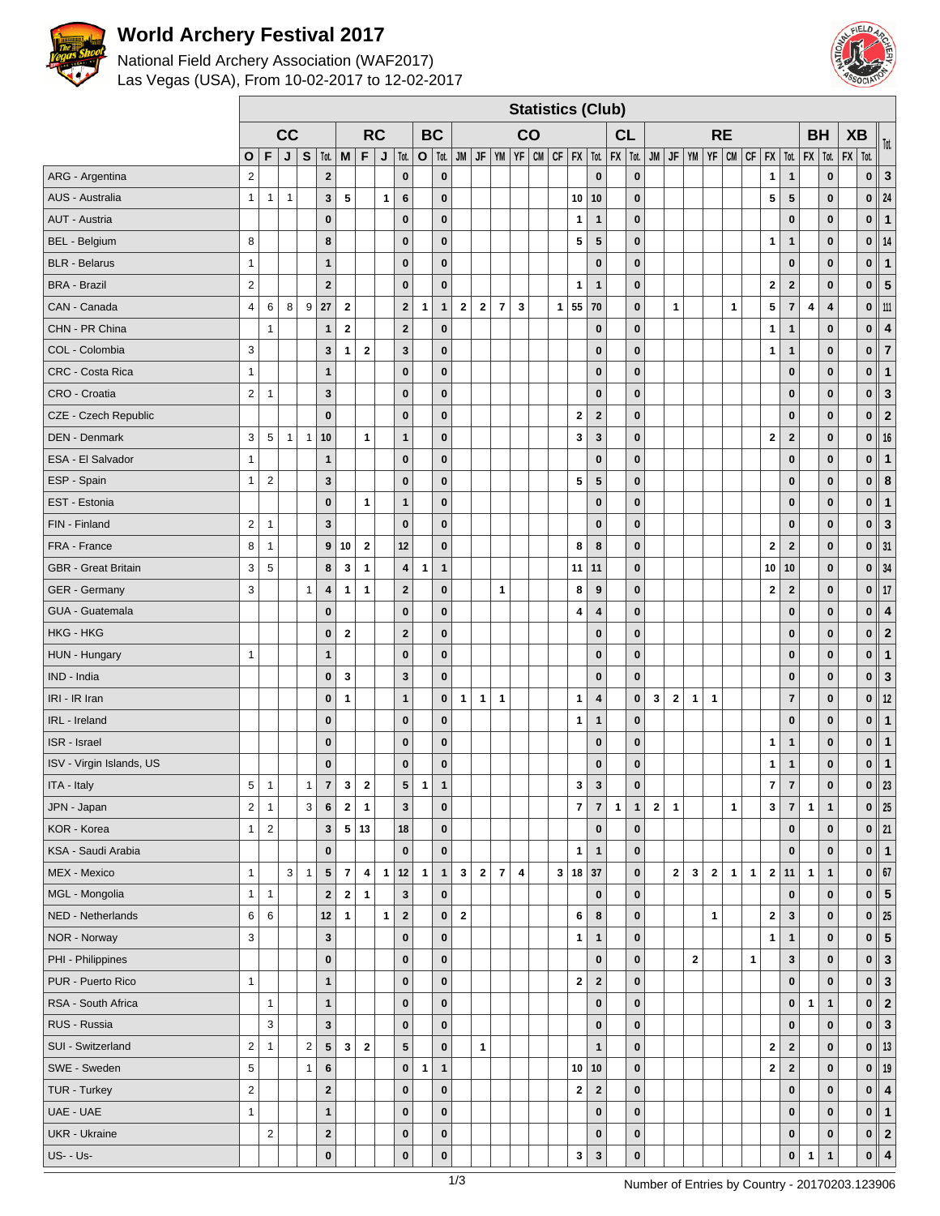

## **World Archery Festival 2017**

 $\Gamma$ 

### National Field Archery Association (WAF2017) Las Vegas (USA), From 10-02-2017 to 12-02-2017



|                            |                         | <b>Statistics (Club)</b><br><b>RC</b><br><b>BC</b> |              |              |                  |                          |                         |              |                         |                |              |              |                |                |                         |    |              |                         |                         |              |              |              |                |              |              |              |                                                                                                           |              |                         |              |                         |                         |             |                         |
|----------------------------|-------------------------|----------------------------------------------------|--------------|--------------|------------------|--------------------------|-------------------------|--------------|-------------------------|----------------|--------------|--------------|----------------|----------------|-------------------------|----|--------------|-------------------------|-------------------------|--------------|--------------|--------------|----------------|--------------|--------------|--------------|-----------------------------------------------------------------------------------------------------------|--------------|-------------------------|--------------|-------------------------|-------------------------|-------------|-------------------------|
|                            |                         |                                                    | cc           |              |                  |                          |                         |              |                         |                |              |              |                |                |                         | CO |              |                         |                         | CL           |              |              |                |              |              | <b>RE</b>    |                                                                                                           |              |                         | <b>BH</b>    |                         | <b>XB</b>               |             | Tot.                    |
|                            | О                       | F                                                  | J            | S            | Tot.             | M                        | F                       | J            | Tot.                    | $\mathbf{o}$   | $\vert$ Tot. |              |                |                |                         |    |              |                         |                         |              |              |              |                |              |              |              | JM   JF   YM   YF   CM   CF   FX   Tot.   FX   Tot.   JM   JF   YM   YF   CM   CF   FX   Tot.   FX   Tot. |              |                         |              |                         | $\vert$ FX $\vert$ Tot. |             |                         |
| ARG - Argentina            | $\overline{2}$          |                                                    |              |              | $\bf 2$          |                          |                         |              | $\bf{0}$                |                | $\bf{0}$     |              |                |                |                         |    |              |                         | $\bf{0}$                |              | $\pmb{0}$    |              |                |              |              |              |                                                                                                           | $\mathbf{1}$ | $\mathbf{1}$            |              | $\pmb{0}$               |                         | $\pmb{0}$   | $\mathbf 3$             |
| AUS - Australia            | $\mathbf{1}$            | 1                                                  | $\mathbf{1}$ |              | $\mathbf{3}$     | 5                        |                         | $\mathbf{1}$ | 6                       |                | $\bf{0}$     |              |                |                |                         |    |              | 10                      | 10                      |              | $\pmb{0}$    |              |                |              |              |              |                                                                                                           | 5            | 5                       |              | $\pmb{0}$               |                         | $\mathbf 0$ | 24                      |
| AUT - Austria              |                         |                                                    |              |              | $\bf{0}$         |                          |                         |              | $\bf{0}$                |                | $\bf{0}$     |              |                |                |                         |    |              | 1                       | $\mathbf{1}$            |              | $\bf{0}$     |              |                |              |              |              |                                                                                                           |              | $\bf{0}$                |              | $\bf{0}$                |                         | $\bf{0}$    | $\overline{\mathbf{1}}$ |
| <b>BEL</b> - Belgium       | 8                       |                                                    |              |              | 8                |                          |                         |              | $\pmb{0}$               |                | $\bf{0}$     |              |                |                |                         |    |              | 5                       | 5                       |              | $\pmb{0}$    |              |                |              |              |              |                                                                                                           | 1            | $\mathbf{1}$            |              | $\bf{0}$                |                         | $\bf{0}$    | 14                      |
| <b>BLR</b> - Belarus       | $\mathbf{1}$            |                                                    |              |              | $\mathbf{1}$     |                          |                         |              | $\bf{0}$                |                | $\bf{0}$     |              |                |                |                         |    |              |                         | $\mathbf 0$             |              | $\pmb{0}$    |              |                |              |              |              |                                                                                                           |              | $\bf{0}$                |              | $\bf{0}$                |                         | $\pmb{0}$   | $\mathbf{1}$            |
| <b>BRA - Brazil</b>        | $\overline{2}$          |                                                    |              |              | $\mathbf{2}$     |                          |                         |              | $\bf{0}$                |                | $\pmb{0}$    |              |                |                |                         |    |              | $\mathbf{1}$            | $\mathbf{1}$            |              | $\pmb{0}$    |              |                |              |              |              |                                                                                                           | $\mathbf{2}$ | $\bf{2}$                |              | $\pmb{0}$               |                         | $\mathbf 0$ | $\overline{\mathbf{5}}$ |
| CAN - Canada               | $\overline{\mathbf{4}}$ | 6                                                  | 8            | 9            | 27               | $\mathbf{2}$             |                         |              | $\mathbf{2}$            | $\mathbf{1}$   | $\mathbf{1}$ | $\mathbf{2}$ | $\mathbf{2}$   | $\overline{7}$ | $\mathbf 3$             |    | $\mathbf{1}$ | 55                      | 70                      |              | $\pmb{0}$    |              | $\overline{1}$ |              |              | $\mathbf{1}$ |                                                                                                           | 5            | $\overline{7}$          | 4            | $\overline{\mathbf{4}}$ |                         | $\pmb{0}$   | 111                     |
| CHN - PR China             |                         | 1                                                  |              |              | $\mathbf{1}$     | $\mathbf{2}$             |                         |              | $\mathbf{2}$            |                | $\bf{0}$     |              |                |                |                         |    |              |                         | $\bf{0}$                |              | $\pmb{0}$    |              |                |              |              |              |                                                                                                           | $\mathbf{1}$ | 1                       |              | $\bf{0}$                |                         | $\bf{0}$    | $\overline{\mathbf{4}}$ |
| COL - Colombia             | 3                       |                                                    |              |              | $\mathbf{3}$     | $\mathbf 1$              | $\overline{2}$          |              | $\mathbf{3}$            |                | $\mathbf{0}$ |              |                |                |                         |    |              |                         | $\mathbf 0$             |              | $\bf{0}$     |              |                |              |              |              |                                                                                                           | $\mathbf{1}$ | $\mathbf{1}$            |              | $\mathbf{0}$            |                         | $\pmb{0}$   | $\overline{7}$          |
| CRC - Costa Rica           | $\mathbf{1}$            |                                                    |              |              | $\mathbf{1}$     |                          |                         |              | $\pmb{0}$               |                | $\bf{0}$     |              |                |                |                         |    |              |                         | $\bf{0}$                |              | $\pmb{0}$    |              |                |              |              |              |                                                                                                           |              | $\bf{0}$                |              | $\bf{0}$                |                         | $\mathbf 0$ | $\mathbf{1}$            |
| CRO - Croatia              | $\overline{2}$          | $\overline{1}$                                     |              |              | $\mathbf{3}$     |                          |                         |              | $\bf{0}$                |                | $\bf{0}$     |              |                |                |                         |    |              |                         | $\bf{0}$                |              | $\pmb{0}$    |              |                |              |              |              |                                                                                                           |              | $\bf{0}$                |              | $\bf{0}$                |                         | $\bf{0}$    | $\mathbf{3}$            |
| CZE - Czech Republic       |                         |                                                    |              |              | $\bf{0}$         |                          |                         |              | $\bf{0}$                |                | $\bf{0}$     |              |                |                |                         |    |              | $\mathbf 2$             | $\boldsymbol{2}$        |              | $\pmb{0}$    |              |                |              |              |              |                                                                                                           |              | $\bf{0}$                |              | $\pmb{0}$               |                         | $\pmb{0}$   | $\overline{\mathbf{c}}$ |
| <b>DEN - Denmark</b>       | 3                       | 5                                                  | $\mathbf{1}$ | $\mathbf{1}$ | 10               |                          | $\mathbf{1}$            |              | $\mathbf{1}$            |                | $\mathbf{0}$ |              |                |                |                         |    |              | 3                       | $\mathbf{3}$            |              | $\pmb{0}$    |              |                |              |              |              |                                                                                                           | $\mathbf{2}$ | $\overline{2}$          |              | $\bf{0}$                |                         | $\mathbf 0$ | 16                      |
| ESA - El Salvador          | $\mathbf{1}$            |                                                    |              |              | 1                |                          |                         |              | $\bf{0}$                |                | $\bf{0}$     |              |                |                |                         |    |              |                         | $\bf{0}$                |              | $\pmb{0}$    |              |                |              |              |              |                                                                                                           |              | $\bf{0}$                |              | $\bf{0}$                |                         | $\bf{0}$    | $\mathbf{1}$            |
| ESP - Spain                | $\mathbf{1}$            | $\boldsymbol{2}$                                   |              |              | $\mathbf{3}$     |                          |                         |              | $\bf{0}$                |                | $\bf{0}$     |              |                |                |                         |    |              | 5                       | 5                       |              | $\pmb{0}$    |              |                |              |              |              |                                                                                                           |              | $\bf{0}$                |              | $\bf{0}$                |                         | $\bf{0}$    | $\bf8$                  |
| EST - Estonia              |                         |                                                    |              |              | $\pmb{0}$        |                          | $\mathbf{1}$            |              | $\mathbf{1}$            |                | $\bf{0}$     |              |                |                |                         |    |              |                         | $\mathbf 0$             |              | $\pmb{0}$    |              |                |              |              |              |                                                                                                           |              | $\bf{0}$                |              | $\pmb{0}$               |                         | $\pmb{0}$   | $\mathbf{1}$            |
| FIN - Finland              | $\overline{2}$          | 1                                                  |              |              | $\mathbf{3}$     |                          |                         |              | $\bf{0}$                |                | $\mathbf 0$  |              |                |                |                         |    |              |                         | $\bf{0}$                |              | $\pmb{0}$    |              |                |              |              |              |                                                                                                           |              | $\bf{0}$                |              | $\pmb{0}$               |                         | $\mathbf 0$ | $\mathbf{3}$            |
| FRA - France               | 8                       | 1                                                  |              |              | $\boldsymbol{9}$ | 10                       | $\bf{2}$                |              | 12                      |                | $\bf{0}$     |              |                |                |                         |    |              | 8                       | 8                       |              | $\pmb{0}$    |              |                |              |              |              |                                                                                                           | $\mathbf{2}$ | $\overline{\mathbf{2}}$ |              | $\bf{0}$                |                         | $\pmb{0}$   | 31                      |
| <b>GBR</b> - Great Britain | 3                       | $\overline{5}$                                     |              |              | 8                | 3                        | $\mathbf{1}$            |              | $\overline{\mathbf{4}}$ | $\mathbf{1}$   | $\mathbf{1}$ |              |                |                |                         |    |              | 11                      | 11                      |              | $\pmb{0}$    |              |                |              |              |              |                                                                                                           | 10           | 10                      |              | $\bf{0}$                |                         | $\pmb{0}$   | 34                      |
| GER - Germany              | 3                       |                                                    |              | $\mathbf{1}$ | $\pmb{4}$        | $\mathbf{1}$             | $\overline{1}$          |              | $\mathbf{2}$            |                | $\mathbf{0}$ |              |                | $\mathbf{1}$   |                         |    |              | 8                       | 9                       |              | $\bf{0}$     |              |                |              |              |              |                                                                                                           | $\mathbf{2}$ | $\overline{\mathbf{2}}$ |              | $\bf{0}$                |                         | $\mathbf 0$ | 17                      |
| GUA - Guatemala            |                         |                                                    |              |              | $\bf{0}$         |                          |                         |              | $\bf{0}$                |                | $\bf{0}$     |              |                |                |                         |    |              | 4                       | $\overline{\mathbf{4}}$ |              | $\pmb{0}$    |              |                |              |              |              |                                                                                                           |              | $\bf{0}$                |              | $\bf{0}$                |                         | $\mathbf 0$ | $\overline{\mathbf{4}}$ |
| HKG - HKG                  |                         |                                                    |              |              | $\pmb{0}$        | $\mathbf{2}$             |                         |              | $\bf{2}$                |                | $\bf{0}$     |              |                |                |                         |    |              |                         | $\bf{0}$                |              | $\pmb{0}$    |              |                |              |              |              |                                                                                                           |              | $\bf{0}$                |              | $\bf{0}$                |                         | $\bf{0}$    | $\overline{\mathbf{c}}$ |
| HUN - Hungary              | $\mathbf{1}$            |                                                    |              |              | $\mathbf{1}$     |                          |                         |              | $\bf{0}$                |                | $\bf{0}$     |              |                |                |                         |    |              |                         | $\mathbf 0$             |              | $\pmb{0}$    |              |                |              |              |              |                                                                                                           |              | $\bf{0}$                |              | $\bf{0}$                |                         | $\pmb{0}$   | $\mathbf{1}$            |
| IND - India                |                         |                                                    |              |              | $\bf{0}$         | 3                        |                         |              | $\mathbf{3}$            |                | $\bf{0}$     |              |                |                |                         |    |              |                         | $\bf{0}$                |              | $\bf{0}$     |              |                |              |              |              |                                                                                                           |              | $\bf{0}$                |              | $\bf{0}$                |                         | $\bf{0}$    | $\mathbf{3}$            |
| IRI - IR Iran              |                         |                                                    |              |              | $\pmb{0}$        | 1                        |                         |              | $\mathbf{1}$            |                | $\pmb{0}$    | $\mathbf{1}$ | 1              | $\mathbf{1}$   |                         |    |              | $\mathbf{1}$            | $\overline{\mathbf{4}}$ |              | $\pmb{0}$    | 3            | $\bf 2$        | $\mathbf{1}$ | $\mathbf{1}$ |              |                                                                                                           |              | $\overline{7}$          |              | $\bf{0}$                |                         | $\pmb{0}$   | 12                      |
| IRL - Ireland              |                         |                                                    |              |              | $\pmb{0}$        |                          |                         |              | $\bf{0}$                |                | $\mathbf 0$  |              |                |                |                         |    |              | 1                       | $\mathbf{1}$            |              | $\bf{0}$     |              |                |              |              |              |                                                                                                           |              | $\bf{0}$                |              | $\bf{0}$                |                         | $\mathbf 0$ | $\overline{1}$          |
| ISR - Israel               |                         |                                                    |              |              | $\bf{0}$         |                          |                         |              | $\bf{0}$                |                | $\bf{0}$     |              |                |                |                         |    |              |                         | $\bf{0}$                |              | $\pmb{0}$    |              |                |              |              |              |                                                                                                           | $\mathbf{1}$ | $\mathbf{1}$            |              | $\pmb{0}$               |                         | $\pmb{0}$   | $\mathbf{1}$            |
| ISV - Virgin Islands, US   |                         |                                                    |              |              | $\bf{0}$         |                          |                         |              | $\bf{0}$                |                | $\pmb{0}$    |              |                |                |                         |    |              |                         | $\bf{0}$                |              | $\pmb{0}$    |              |                |              |              |              |                                                                                                           | $\mathbf{1}$ | $\mathbf{1}$            |              | $\pmb{0}$               |                         | $\pmb{0}$   | $\vert$ 1               |
| ITA - Italy                | 5                       | $\overline{1}$                                     |              | $\mathbf{1}$ | $\overline{7}$   | 3                        | $\mathbf{2}$            |              | $5\phantom{.0}$         | $\mathbf{1}$   | $\mathbf{1}$ |              |                |                |                         |    |              | 3                       | $\mathbf{3}$            |              | $\bf{0}$     |              |                |              |              |              |                                                                                                           | 7            | $\overline{7}$          |              | $\bf{0}$                |                         | $\mathbf 0$ | 23                      |
| JPN - Japan                | $\mathbf 2$             | $\mathbf{1}$                                       |              | 3            | $\bf 6$          | $\mathbf{2}$             | $\mathbf{1}$            |              | $\mathbf{3}$            |                | $\pmb{0}$    |              |                |                |                         |    |              | $\overline{\mathbf{7}}$ | $\overline{7}$          | $\mathbf{1}$ | $\mathbf{1}$ | $\mathbf{2}$ | $\mathbf{1}$   |              |              | $\mathbf{1}$ |                                                                                                           | 3            | $\overline{7}$          | $\mathbf{1}$ | $\mathbf{1}$            |                         | $\pmb{0}$   | 25                      |
| KOR - Korea                | $\mathbf{1}$            | $\overline{2}$                                     |              |              | $\mathbf{3}$     |                          | 5 13                    |              | 18                      |                | $\mathbf 0$  |              |                |                |                         |    |              |                         | $\pmb{0}$               |              | $\pmb{0}$    |              |                |              |              |              |                                                                                                           |              | $\bf{0}$                |              | $\pmb{0}$               |                         | $\mathbf 0$ | $\parallel$ 21          |
| KSA - Saudi Arabia         |                         |                                                    |              |              | $\pmb{0}$        |                          |                         |              | $\bf{0}$                |                | $\pmb{0}$    |              |                |                |                         |    |              | 1                       | $\mathbf{1}$            |              | $\pmb{0}$    |              |                |              |              |              |                                                                                                           |              | $\bf{0}$                |              | $\bf{0}$                |                         | $\bf{0}$    | $\vert$ 1               |
| MEX - Mexico               | $\mathbf{1}$            |                                                    | 3            | $\mathbf{1}$ | ${\bf 5}$        | $\overline{\phantom{a}}$ | $\overline{\mathbf{4}}$ | $\mathbf{1}$ | 12                      | $\mathbf{1}$   | $\mathbf{1}$ | $\mathbf 3$  | $\overline{2}$ | $\overline{7}$ | $\overline{\mathbf{4}}$ |    | 3            |                         | 18 37                   |              | $\pmb{0}$    |              | $\bf{2}$       | 3            | $\bf 2$      | $\mathbf{1}$ | $\mathbf{1}$                                                                                              | $\mathbf 2$  | 11                      | $\mathbf{1}$ | $\mathbf{1}$            |                         | $\bf{0}$    | 67                      |
| MGL - Mongolia             | $\mathbf{1}$            | $\mathbf{1}$                                       |              |              | $\mathbf{2}$     | $\mathbf{2}$             | $\mathbf{1}$            |              | $\mathbf 3$             |                | $\mathbf 0$  |              |                |                |                         |    |              |                         | $\mathbf 0$             |              | $\pmb{0}$    |              |                |              |              |              |                                                                                                           |              | $\bf{0}$                |              | $\pmb{0}$               |                         | $\mathbf 0$ | 5                       |
| NED - Netherlands          | 6                       | 6                                                  |              |              | 12               | $\mathbf{1}$             |                         | $\mathbf{1}$ | $\bf{2}$                |                | $\bf{0}$     | $\mathbf 2$  |                |                |                         |    |              | 6                       | 8                       |              | $\pmb{0}$    |              |                |              | 1            |              |                                                                                                           | $\mathbf{2}$ | 3                       |              | $\pmb{0}$               |                         | $\bf{0}$    | 25                      |
| NOR - Norway               | 3                       |                                                    |              |              | $\mathbf{3}$     |                          |                         |              | $\bf{0}$                |                | $\pmb{0}$    |              |                |                |                         |    |              | $\mathbf{1}$            | $\mathbf{1}$            |              | $\pmb{0}$    |              |                |              |              |              |                                                                                                           | $\mathbf{1}$ | $\mathbf{1}$            |              | $\bf{0}$                |                         | $\pmb{0}$   | 5                       |
| PHI - Philippines          |                         |                                                    |              |              | $\pmb{0}$        |                          |                         |              | $\bf{0}$                |                | $\mathbf 0$  |              |                |                |                         |    |              |                         | $\mathbf 0$             |              | $\pmb{0}$    |              |                | $\mathbf{2}$ |              |              | $\mathbf{1}$                                                                                              |              | $\mathbf{3}$            |              | $\bf{0}$                |                         | $\mathbf 0$ | $\mathbf{3}$            |
| PUR - Puerto Rico          | $\mathbf{1}$            |                                                    |              |              | 1                |                          |                         |              | $\bf{0}$                |                | $\bf{0}$     |              |                |                |                         |    |              | $\mathbf{2}$            | $\boldsymbol{2}$        |              | $\pmb{0}$    |              |                |              |              |              |                                                                                                           |              | $\bf{0}$                |              | $\pmb{0}$               |                         | $\mathbf 0$ | $\mathbf 3$             |
| RSA - South Africa         |                         | $\mathbf{1}$                                       |              |              | $\mathbf{1}$     |                          |                         |              | $\bf{0}$                |                | $\pmb{0}$    |              |                |                |                         |    |              |                         | $\bf{0}$                |              | $\pmb{0}$    |              |                |              |              |              |                                                                                                           |              | $\pmb{0}$               | $\mathbf{1}$ | $\mathbf{1}$            |                         | $\mathbf 0$ | $\mathbf 2$             |
| RUS - Russia               |                         | 3                                                  |              |              | $\mathbf{3}$     |                          |                         |              | $\bf{0}$                |                | $\pmb{0}$    |              |                |                |                         |    |              |                         | $\mathbf{0}$            |              | $\pmb{0}$    |              |                |              |              |              |                                                                                                           |              | $\bf{0}$                |              | $\pmb{0}$               |                         | $\bf{0}$    | $\mathbf 3$             |
| SUI - Switzerland          | $\mathbf 2$             | $\mathbf{1}$                                       |              | $\mathbf 2$  | ${\bf 5}$        | $\mathbf{3}$             | $\mathbf{2}$            |              | $5\phantom{.0}$         |                | $\pmb{0}$    |              | $\mathbf{1}$   |                |                         |    |              |                         | $\mathbf{1}$            |              | $\pmb{0}$    |              |                |              |              |              |                                                                                                           | $\bf 2$      | $\bf 2$                 |              | $\pmb{0}$               |                         | $\pmb{0}$   | 13                      |
| SWE - Sweden               | 5                       |                                                    |              | $\mathbf{1}$ | $\bf 6$          |                          |                         |              | $\mathbf 0$             | $\overline{1}$ | $\mathbf{1}$ |              |                |                |                         |    |              |                         | 10 10                   |              | $\bf{0}$     |              |                |              |              |              |                                                                                                           | $\mathbf{2}$ | $\overline{2}$          |              | $\bf{0}$                |                         | $\mathbf 0$ | 19                      |
| TUR - Turkey               | $\boldsymbol{2}$        |                                                    |              |              | $\bf 2$          |                          |                         |              | $\bf{0}$                |                | $\pmb{0}$    |              |                |                |                         |    |              | $\mathbf{2}$            | $\bf{2}$                |              | $\pmb{0}$    |              |                |              |              |              |                                                                                                           |              | $\bf{0}$                |              | $\bf{0}$                |                         | $\pmb{0}$   | $\pmb{4}$               |
| UAE - UAE                  | $\mathbf{1}$            |                                                    |              |              | $\mathbf{1}$     |                          |                         |              | $\pmb{0}$               |                | $\pmb{0}$    |              |                |                |                         |    |              |                         | $\bf{0}$                |              | $\pmb{0}$    |              |                |              |              |              |                                                                                                           |              | $\bf{0}$                |              | $\pmb{0}$               |                         | $\pmb{0}$   | $\mathbf{1}$            |
| <b>UKR</b> - Ukraine       |                         | $\overline{c}$                                     |              |              | $\bf 2$          |                          |                         |              | $\pmb{0}$               |                | $\mathbf 0$  |              |                |                |                         |    |              |                         | $\mathbf 0$             |              | $\pmb{0}$    |              |                |              |              |              |                                                                                                           |              | $\pmb{0}$               |              | $\pmb{0}$               |                         | $\mathbf 0$ | $\vert$ 2               |
| <b>US- - Us-</b>           |                         |                                                    |              |              | $\pmb{0}$        |                          |                         |              | $\pmb{0}$               |                | $\bf{0}$     |              |                |                |                         |    |              | 3                       | $\mathbf 3$             |              | $\pmb{0}$    |              |                |              |              |              |                                                                                                           |              | $\pmb{0}$               | $\mathbf{1}$ | $\mathbf{1}$            |                         | $\pmb{0}$   | $\vert$ 4               |
|                            |                         |                                                    |              |              |                  |                          |                         |              |                         |                |              |              |                |                |                         |    |              |                         |                         |              |              |              |                |              |              |              |                                                                                                           |              |                         |              |                         |                         |             |                         |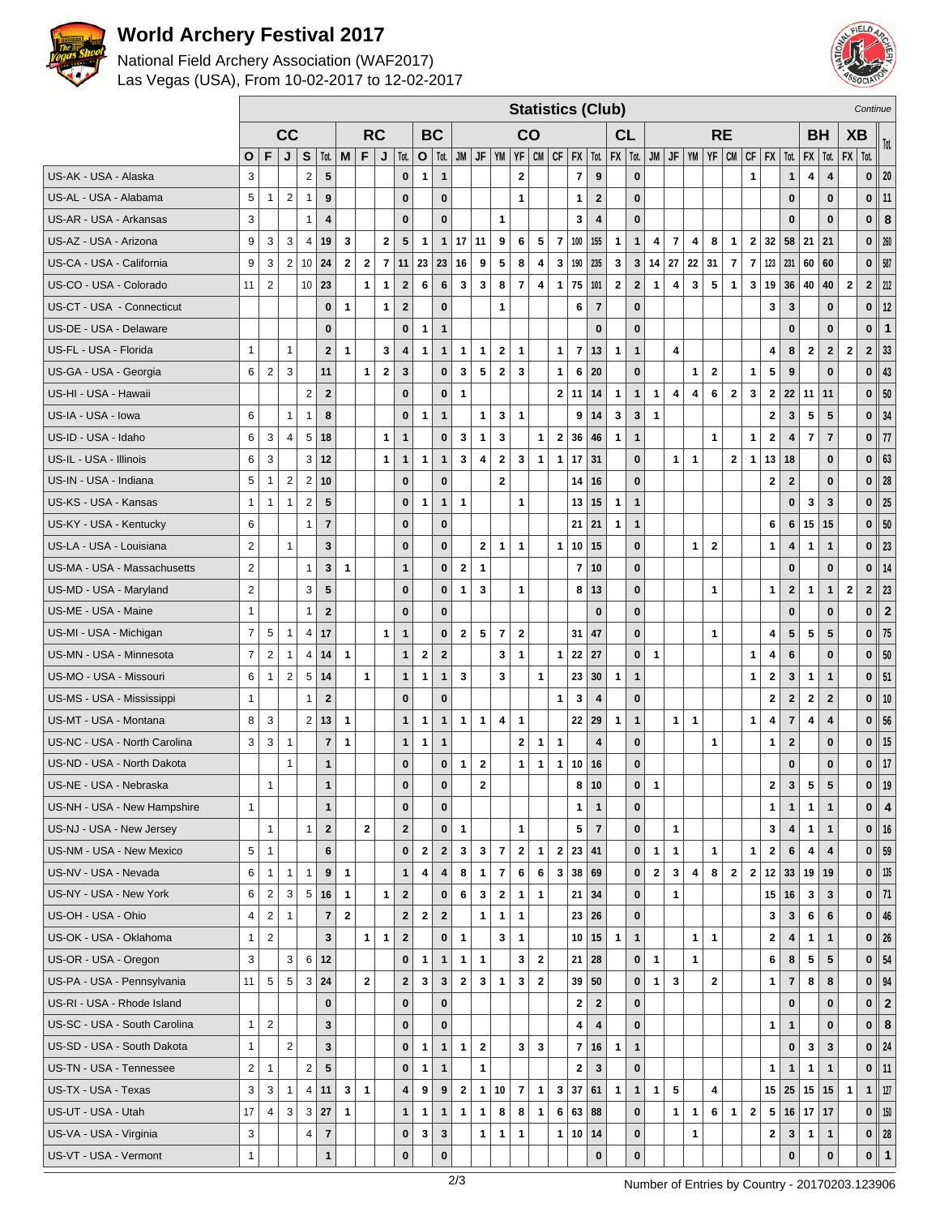

## **World Archery Festival 2017**

### National Field Archery Association (WAF2017) Las Vegas (USA), From 10-02-2017 to 12-02-2017



|                              |                | <b>Statistics (Club)</b> |                |                |                         |              |                         |              |                         |                         |                         |              |                         |                |                         |                         |                          |                         | Continue                |                         |              |              |                         |                |              |                |                |              |                         |                         |                         |                         |                |                         |
|------------------------------|----------------|--------------------------|----------------|----------------|-------------------------|--------------|-------------------------|--------------|-------------------------|-------------------------|-------------------------|--------------|-------------------------|----------------|-------------------------|-------------------------|--------------------------|-------------------------|-------------------------|-------------------------|--------------|--------------|-------------------------|----------------|--------------|----------------|----------------|--------------|-------------------------|-------------------------|-------------------------|-------------------------|----------------|-------------------------|
|                              |                |                          | cc             |                |                         |              |                         | <b>RC</b>    |                         |                         | <b>BC</b>               |              |                         |                |                         | CO                      |                          |                         |                         | CL                      |              |              |                         |                | <b>RE</b>    |                |                |              |                         | <b>BH</b>               |                         | <b>XB</b>               |                | Tot.                    |
|                              | O              | F                        | J              | S              | Tot.                    | M            | F                       | J            | Tot.                    | $\mathbf{o}$            | Tot.                    | JM           | JF                      | YM             |                         | $YF$ $CM$               |                          | $CF$ $FX$ $Tot.$        |                         | $FX$   Tot.             |              | JM           | JF                      | <b>YM</b>      | $YF$ CM      |                | $CF$ $FX$      |              | Tot.                    |                         | $FX \mid Tot.$          | $FX$   Tot.             |                |                         |
| US-AK - USA - Alaska         | 3              |                          |                | $\overline{2}$ | 5                       |              |                         |              | $\bf{0}$                | $\mathbf 1$             | $\mathbf{1}$            |              |                         |                | $\overline{\mathbf{2}}$ |                         |                          | 7                       | 9                       |                         | $\pmb{0}$    |              |                         |                |              |                | $\mathbf{1}$   |              | 1                       | $\overline{\mathbf{4}}$ | $\overline{\mathbf{4}}$ |                         | $\bf{0}$       | 20                      |
| US-AL - USA - Alabama        | 5              | $\mathbf{1}$             | 2              | $\mathbf{1}$   | 9                       |              |                         |              | $\mathbf{0}$            |                         | $\bf{0}$                |              |                         |                | $\mathbf{1}$            |                         |                          | 1                       | $\overline{2}$          |                         | $\bf{0}$     |              |                         |                |              |                |                |              | 0                       |                         | $\bf{0}$                |                         | 0              | 11                      |
| US-AR - USA - Arkansas       | 3              |                          |                | $\mathbf{1}$   | $\overline{\mathbf{4}}$ |              |                         |              | $\bf{0}$                |                         | $\bf{0}$                |              |                         | 1              |                         |                         |                          | 3                       | $\overline{4}$          |                         | $\bf{0}$     |              |                         |                |              |                |                |              | $\bf{0}$                |                         | $\bf{0}$                |                         | $\bf{0}$       | $\bf8$                  |
| US-AZ - USA - Arizona        | 9              | 3                        | 3              | 4              | 19                      | 3            |                         | $\mathbf{2}$ | 5                       | $\mathbf{1}$            | $\mathbf{1}$            | 17           | 11                      | 9              | 6                       | 5                       | $\overline{\phantom{a}}$ | 100                     | 155                     | $\mathbf{1}$            | $\mathbf{1}$ | 4            | 7                       | 4              | 8            | $\mathbf{1}$   | 2 <sup>1</sup> | 32           | 58                      | 21                      | 21                      |                         | $\bf{0}$       | 260                     |
| US-CA - USA - California     | 9              | 3                        | $\overline{2}$ | 10             | 24                      | $\mathbf{2}$ | $\overline{\mathbf{2}}$ |              | 7 11                    | 23                      | 23                      | 16           | 9                       | 5              | 8                       | 4                       | 3                        | 190                     | 235                     | 3                       | $\mathbf{3}$ | 14           | 27                      | 22 31          |              | $\overline{7}$ | $\overline{7}$ | 123          | 231                     | 60                      | 60                      |                         | $\mathbf 0$    | 587                     |
| US-CO - USA - Colorado       | 11             | $\overline{2}$           |                | 10             | 23                      |              | $\mathbf{1}$            | $\mathbf{1}$ | $\overline{\mathbf{2}}$ | 6                       | $6\phantom{1}$          | $\mathbf 3$  | $\mathbf 3$             | 8              | $\overline{7}$          | $\overline{\mathbf{4}}$ | $\mathbf{1}$             | ${\bf 75}$              | 101                     | $\overline{\mathbf{2}}$ | $\mathbf 2$  | $\mathbf{1}$ | $\overline{\mathbf{4}}$ | 3              | 5            | $\mathbf{1}$   | 3              | 19           | 36                      | 40                      | 40                      | $\overline{\mathbf{2}}$ | $\mathbf{2}$   | 212                     |
| US-CT - USA - Connecticut    |                |                          |                |                | $\bf{0}$                | $\mathbf 1$  |                         | $\mathbf{1}$ | $\overline{2}$          |                         | $\bf{0}$                |              |                         | 1              |                         |                         |                          | 6                       | $\overline{7}$          |                         | $\bf{0}$     |              |                         |                |              |                |                | 3            | 3                       |                         | $\pmb{0}$               |                         | 0              | $12$                    |
| US-DE - USA - Delaware       |                |                          |                |                | $\mathbf{0}$            |              |                         |              | $\bf{0}$                | 1                       | $\mathbf{1}$            |              |                         |                |                         |                         |                          |                         | $\mathbf 0$             |                         | $\bf{0}$     |              |                         |                |              |                |                |              | $\bf{0}$                |                         | $\bf{0}$                |                         | $\bf{0}$       | $\mathbf{1}$            |
| US-FL - USA - Florida        | $\mathbf{1}$   |                          | 1              |                | $\mathbf{2}$            | $\mathbf 1$  |                         | 3            | $\overline{\mathbf{4}}$ | $\mathbf{1}$            | $\mathbf{1}$            | 1            | 1                       | $\mathbf{2}$   | $\mathbf{1}$            |                         | 1                        | $\overline{\mathbf{r}}$ | 13                      | 1                       | $\mathbf{1}$ |              | 4                       |                |              |                |                | 4            | 8                       | $\mathbf{2}$            | $\overline{2}$          | $\overline{\mathbf{2}}$ | $\mathbf{2}$   | 33                      |
| US-GA - USA - Georgia        | 6              | $\overline{2}$           | 3              |                | 11                      |              | 1                       | $\mathbf{2}$ | $\mathbf{3}$            |                         | $\mathbf 0$             | $\mathbf{3}$ | 5                       | $\mathbf{2}$   | 3                       |                         | $\mathbf{1}$             | 6                       | 20                      |                         | $\bf{0}$     |              |                         | 1              | $\mathbf{2}$ |                | 1              | 5            | 9                       |                         | $\mathbf{0}$            |                         | $\mathbf 0$    | 43                      |
| US-HI - USA - Hawaii         |                |                          |                | $\overline{2}$ | $\overline{2}$          |              |                         |              | $\mathbf{0}$            |                         | $\mathbf 0$             | 1            |                         |                |                         |                         | $\mathbf{2}$             | 11                      | 14                      | $\mathbf{1}$            | $\mathbf{1}$ | $\mathbf{1}$ | $\overline{\mathbf{4}}$ | 4              | 6            | $\bf{2}$       | 3              | $\mathbf{2}$ | 22                      |                         | $11$   11               |                         | $\mathbf 0$    | 50                      |
| US-IA - USA - Iowa           | 6              |                          | 1              | $\overline{1}$ | 8                       |              |                         |              | $\bf{0}$                | $\mathbf{1}$            | $\mathbf{1}$            |              | 1                       | 3              | $\mathbf{1}$            |                         |                          | 9                       | 14                      | 3                       | 3            | $\mathbf{1}$ |                         |                |              |                |                | $\mathbf{2}$ | 3                       | 5                       | 5                       |                         | $\bf{0}$       | 34                      |
| US-ID - USA - Idaho          | 6              | 3                        | $\overline{4}$ | 5              | 18                      |              |                         | $\mathbf{1}$ | $\mathbf{1}$            |                         | $\bf{0}$                | $\mathbf{3}$ | 1                       | 3              |                         | $\mathbf{1}$            | $\mathbf{2}$             | 36                      | 46                      | $\mathbf{1}$            | $\mathbf{1}$ |              |                         |                | $\mathbf{1}$ |                | 1              | $\mathbf{2}$ | $\overline{\mathbf{4}}$ | $\overline{7}$          | $\overline{\mathbf{r}}$ |                         | 0              | 77                      |
| US-IL - USA - Illinois       | 6              | 3                        |                | 3              | 12                      |              |                         | $\mathbf{1}$ | $\mathbf{1}$            | 1                       | $\mathbf{1}$            | $\mathbf{3}$ | $\overline{\mathbf{4}}$ | $\mathbf{2}$   | 3                       | $\mathbf{1}$            | $\mathbf{1}$             | 17                      | 31                      |                         | $\bf{0}$     |              | $\mathbf{1}$            | $\mathbf{1}$   |              | $\overline{2}$ | $\mathbf{1}$   | 13           | 18                      |                         | $\mathbf{0}$            |                         | $\mathbf 0$    | 63                      |
| US-IN - USA - Indiana        | 5              | $\mathbf{1}$             | $\overline{2}$ | $\overline{2}$ | 10                      |              |                         |              | $\mathbf{0}$            |                         | $\bf{0}$                |              |                         | $\mathbf{2}$   |                         |                         |                          | 14                      | 16                      |                         | $\bf{0}$     |              |                         |                |              |                |                | $\mathbf{2}$ | $\overline{2}$          |                         | $\pmb{0}$               |                         | $\bf{0}$       | 28                      |
| US-KS - USA - Kansas         | $\mathbf{1}$   | 1                        | $\mathbf{1}$   | $\overline{2}$ | 5                       |              |                         |              | $\mathbf 0$             | $\mathbf{1}$            | $\mathbf{1}$            | 1            |                         |                | $\mathbf{1}$            |                         |                          | 13                      | 15                      | $\mathbf{1}$            | $\mathbf{1}$ |              |                         |                |              |                |                |              | 0                       | 3                       | 3                       |                         | $\mathbf 0$    | 25                      |
| US-KY - USA - Kentucky       | 6              |                          |                | $\overline{1}$ | $\overline{7}$          |              |                         |              | $\mathbf{0}$            |                         | $\bf{0}$                |              |                         |                |                         |                         |                          | 21                      | 21                      | $\mathbf{1}$            | $\mathbf{1}$ |              |                         |                |              |                |                | 6            | $6\phantom{1}6$         | 15                      | 15                      |                         | $\mathbf 0$    | 50                      |
| US-LA - USA - Louisiana      | $\overline{2}$ |                          | 1              |                | 3                       |              |                         |              | $\mathbf{0}$            |                         | $\bf{0}$                |              | $\mathbf{2}$            | $\mathbf{1}$   | $\mathbf{1}$            |                         | $\mathbf{1}$             | 10                      | 15                      |                         | $\bf{0}$     |              |                         | 1              | $\mathbf{2}$ |                |                | 1            | 4                       | $\mathbf{1}$            | $\mathbf{1}$            |                         | $\mathbf{0}$   | 23                      |
| US-MA - USA - Massachusetts  | $\overline{2}$ |                          |                | $\mathbf{1}$   | $\mathbf{3}$            | $\mathbf 1$  |                         |              | $\mathbf{1}$            |                         | $\mathbf 0$             | $\bf 2$      | $\mathbf{1}$            |                |                         |                         |                          | $\overline{\mathbf{r}}$ | 10                      |                         | $\bf{0}$     |              |                         |                |              |                |                |              | $\bf{0}$                |                         | $\bf{0}$                |                         | $\bf{0}$       | 14                      |
| US-MD - USA - Maryland       | $\overline{2}$ |                          |                | 3              | 5                       |              |                         |              | $\mathbf{0}$            |                         | $\mathbf 0$             | 1            | 3                       |                | 1                       |                         |                          | 8                       | 13                      |                         | $\bf{0}$     |              |                         |                | 1            |                |                | 1            | $\mathbf{2}$            | $\mathbf{1}$            | $\mathbf{1}$            | $\overline{\mathbf{2}}$ | $\overline{2}$ | 23                      |
| US-ME - USA - Maine          | $\mathbf{1}$   |                          |                | $\mathbf{1}$   | $\mathbf{2}$            |              |                         |              | $\mathbf{0}$            |                         | $\mathbf 0$             |              |                         |                |                         |                         |                          |                         | $\bf{0}$                |                         | $\bf{0}$     |              |                         |                |              |                |                |              | $\bf{0}$                |                         | $\mathbf{0}$            |                         | $\mathbf 0$    | $\mathbf 2$             |
| US-MI - USA - Michigan       | $\overline{7}$ | 5                        | $\mathbf{1}$   | $\overline{4}$ | 17                      |              |                         | $\mathbf{1}$ | $\mathbf{1}$            |                         | $\mathbf 0$             | $\mathbf{2}$ | $\overline{\mathbf{5}}$ | $\overline{7}$ | $\bf{2}$                |                         |                          | 31                      | 47                      |                         | $\bf{0}$     |              |                         |                | $\mathbf{1}$ |                |                | 4            | 5                       | 5                       | $5\phantom{.0}$         |                         | $\mathbf 0$    | 75                      |
| US-MN - USA - Minnesota      | $\overline{7}$ | $\overline{2}$           | $\mathbf{1}$   | 4              | 14                      | 1            |                         |              | $\mathbf{1}$            | $\overline{2}$          | $\overline{2}$          |              |                         | 3              | $\mathbf{1}$            |                         | $\mathbf{1}$             | 22                      | 27                      |                         | $\bf{0}$     | $\mathbf{1}$ |                         |                |              |                | 1              | 4            | 6                       |                         | $\pmb{0}$               |                         | $\bf{0}$       | 50                      |
| US-MO - USA - Missouri       | 6              | 1                        | $\overline{2}$ | 5              | 14                      |              | 1                       |              | $\mathbf{1}$            | 1                       | $\mathbf{1}$            | $\mathbf{3}$ |                         | 3              |                         | $\mathbf{1}$            |                          | 23                      | 30                      | $\mathbf{1}$            | $\mathbf{1}$ |              |                         |                |              |                | 1              | $\mathbf{2}$ | 3                       | $\mathbf{1}$            | $\mathbf{1}$            |                         | $\bf{0}$       | 51                      |
| US-MS - USA - Mississippi    | $\mathbf{1}$   |                          |                | $\mathbf{1}$   | $\mathbf{2}$            |              |                         |              | $\mathbf{0}$            |                         | $\bf{0}$                |              |                         |                |                         |                         | 1                        | 3                       | $\overline{4}$          |                         | $\bf{0}$     |              |                         |                |              |                |                | $\bf{2}$     | $\overline{2}$          | $\bf{2}$                | $\bf{2}$                |                         | $\mathbf{0}$   | 10                      |
| US-MT - USA - Montana        | 8              | 3                        |                | $\overline{2}$ | 13                      | $\mathbf{1}$ |                         |              | 1                       | 1                       | $\mathbf{1}$            | 1            | $\mathbf{1}$            | 4              | $\mathbf{1}$            |                         |                          | 22                      | 29                      | $\mathbf{1}$            | $\mathbf{1}$ |              | 1                       | $\mathbf{1}$   |              |                | 1              | 4            | $\overline{7}$          | $\overline{4}$          | $\overline{\mathbf{4}}$ |                         | $\mathbf{0}$   | 56                      |
| US-NC - USA - North Carolina | 3              | 3                        | $\mathbf{1}$   |                | $\overline{7}$          | $\mathbf{1}$ |                         |              | $\mathbf{1}$            | $\mathbf 1$             | $\mathbf{1}$            |              |                         |                | $\mathbf{2}$            | $\mathbf{1}$            | $\mathbf{1}$             |                         | $\overline{\mathbf{4}}$ |                         | $\pmb{0}$    |              |                         |                | 1            |                |                | 1            | $\mathbf{2}$            |                         | $\bf{0}$                |                         | 0              | 15                      |
| US-ND - USA - North Dakota   |                |                          | $\mathbf{1}$   |                | $\mathbf{1}$            |              |                         |              | $\mathbf{0}$            |                         | $\bf{0}$                | $\mathbf{1}$ | $\bf{2}$                |                | $\mathbf{1}$            | 1                       | $\mathbf{1}$             | 10                      | 16                      |                         | $\bf{0}$     |              |                         |                |              |                |                |              | $\bf{0}$                |                         | $\pmb{0}$               |                         | $\bf{0}$       | 17                      |
| US-NE - USA - Nebraska       |                | $\mathbf{1}$             |                |                | $\mathbf{1}$            |              |                         |              | $\mathbf{0}$            |                         | $\mathbf 0$             |              | $\mathbf{2}$            |                |                         |                         |                          | 8                       | 10                      |                         | $\bf{0}$     | $\mathbf{1}$ |                         |                |              |                |                | $\mathbf{2}$ | $\mathbf{3}$            | 5                       | $5\phantom{.0}$         |                         | $\mathbf 0$    | 19                      |
| US-NH - USA - New Hampshire  | $\mathbf{1}$   |                          |                |                | $\mathbf{1}$            |              |                         |              | $\bf{0}$                |                         | $\bf{0}$                |              |                         |                |                         |                         |                          | 1                       | $\mathbf{1}$            |                         | $\bf{0}$     |              |                         |                |              |                |                | 1            | $\mathbf{1}$            | $\mathbf{1}$            | $\mathbf{1}$            |                         | $\mathbf 0$    | $\overline{\mathbf{4}}$ |
| US-NJ - USA - New Jersey     |                | 1                        |                | $\mathbf{1}$   | $\mathbf{2}$            |              | $\overline{\mathbf{2}}$ |              | $\mathbf{2}$            |                         | $\mathbf 0$             | 1            |                         |                | 1                       |                         |                          | 5                       | $\overline{7}$          |                         | $\pmb{0}$    |              | $\mathbf{1}$            |                |              |                |                | 3            | 4                       | $\mathbf 1$             | $\mathbf{1}$            |                         | $\mathbf 0$    | 16                      |
| US-NM - USA - New Mexico     | 5              | $\mathbf{1}$             |                |                | $6\phantom{1}$          |              |                         |              | $\mathbf{0}$            | $\overline{\mathbf{2}}$ | $\mathbf{2}$            | $\mathbf 3$  | 3                       | $\overline{7}$ | $\bf{2}$                | $\mathbf{1}$            | $\mathbf{2}$             | $23 \mid 41$            |                         |                         | $\bf{0}$     | $\mathbf{1}$ | $\mathbf{1}$            |                | $\mathbf{1}$ |                | $\mathbf{1}$   | $\mathbf{2}$ | 6                       | 4                       | $\overline{\mathbf{4}}$ |                         | $\mathbf 0$    | 59                      |
| US-NV - USA - Nevada         | 6              | $\mathbf{1}$             | $\mathbf{1}$   | $\overline{1}$ | 9                       | $\mathbf{1}$ |                         |              | $\mathbf{1}$            | 4                       | $\overline{\mathbf{4}}$ | 8            | $\mathbf{1}$            | $\overline{7}$ | 6                       | 6                       | $\mathbf{3}$             |                         | 38 69                   |                         | $\bf{0}$     | $\mathbf{2}$ | $\mathbf{3}$            | 4              | 8            | $\mathbf{2}$   | 2              | 12           | 33                      | 19                      | 19                      |                         | 0 <sup>1</sup> | 135                     |
| US-NY - USA - New York       | 6              | $\overline{2}$           | 3              | 5              | 16                      | $\mathbf{1}$ |                         | $\mathbf{1}$ | $\mathbf{2}$            |                         | $\pmb{0}$               | 6            | 3                       | $\mathbf{2}$   | $\mathbf{1}$            | $\mathbf{1}$            |                          |                         | $21 \,   \, 34$         |                         | $\bf{0}$     |              | $\mathbf{1}$            |                |              |                |                | 15           | 16                      | 3                       | 3                       |                         | $\mathbf{0}$   | 71                      |
| US-OH - USA - Ohio           | $\overline{4}$ | $\overline{c}$           | $\mathbf{1}$   |                | $\overline{\mathbf{7}}$ | $\mathbf 2$  |                         |              | $\boldsymbol{2}$        | $\overline{2}$          | $\overline{2}$          |              | $\mathbf{1}$            | $\mathbf{1}$   | $\mathbf{1}$            |                         |                          |                         | $23 \mid 26$            |                         | $\bf{0}$     |              |                         |                |              |                |                | 3            | $\mathbf{3}$            | 6                       | $\bf 6$                 |                         | $\mathbf 0$    | 46                      |
| US-OK - USA - Oklahoma       | $\mathbf{1}$   | $\overline{2}$           |                |                | $\mathbf{3}$            |              | $\mathbf{1}$            | $\mathbf{1}$ | $\overline{2}$          |                         | $\pmb{0}$               | $\mathbf{1}$ |                         | 3              | $\mathbf{1}$            |                         |                          |                         | 10 15                   | $\mathbf{1}$            | $\mathbf{1}$ |              |                         | 1 <sup>1</sup> | $\mathbf{1}$ |                |                | $\mathbf{2}$ | $\overline{\mathbf{4}}$ | $\mathbf{1}$            | $\mathbf{1}$            |                         |                | $0$   26                |
| US-OR - USA - Oregon         | 3              |                          | 3              | 6              | 12                      |              |                         |              | $\bf{0}$                | 1                       | $\mathbf{1}$            | 1            | $\mathbf{1}$            |                | 3                       | $\mathbf{2}$            |                          | 21                      | 28                      |                         | $\pmb{0}$    | $\mathbf{1}$ |                         | $\mathbf{1}$   |              |                |                | 6            | 8                       | 5                       | $5\phantom{.0}$         |                         | $\mathbf{0}$   | 54                      |
| US-PA - USA - Pennsylvania   | 11             | 5                        | 5              | 3              | 24                      |              | $\mathbf 2$             |              | $\mathbf{2}$            | 3                       | $\mathbf{3}$            | $\mathbf{2}$ | 3                       | $\mathbf{1}$   | 3                       | $\mathbf{2}$            |                          |                         | 39 50                   |                         | $\pmb{0}$    | $\mathbf{1}$ | 3                       |                | $\mathbf{2}$ |                |                | 1            | $\overline{\mathbf{r}}$ | 8                       | 8                       |                         | 0              | 94                      |
| US-RI - USA - Rhode Island   |                |                          |                |                | $\mathbf{0}$            |              |                         |              | $\mathbf{0}$            |                         | $\bf{0}$                |              |                         |                |                         |                         |                          | $\mathbf{2}$            | $\overline{2}$          |                         | $\bf{0}$     |              |                         |                |              |                |                |              | $\mathbf{0}$            |                         | $\mathbf{0}$            |                         | $\mathbf 0$    | $\mathbf 2$             |
| US-SC - USA - South Carolina | $\mathbf{1}$   | $\overline{2}$           |                |                | $\mathbf{3}$            |              |                         |              | $\bf{0}$                |                         | $\mathbf 0$             |              |                         |                |                         |                         |                          | 4                       | $\overline{4}$          |                         | $\pmb{0}$    |              |                         |                |              |                |                | 1            | $\mathbf{1}$            |                         | $\bf{0}$                |                         | $\bf{0}$       | 8                       |
| US-SD - USA - South Dakota   | $\mathbf{1}$   |                          | $\overline{2}$ |                | $\mathbf{3}$            |              |                         |              | $\mathbf 0$             | $\mathbf{1}$            | $\mathbf{1}$            | $\mathbf{1}$ | $\mathbf{2}$            |                | $\mathbf{3}$            | 3                       |                          | $\overline{7}$          | 16                      | $\mathbf{1}$            | $\mathbf{1}$ |              |                         |                |              |                |                |              | $\mathbf 0$             | $\mathbf{3}$            | $\mathbf{3}$            |                         | $\mathbf 0$    | 24                      |
| US-TN - USA - Tennessee      | $\overline{2}$ | $\mathbf{1}$             |                | $\mathbf 2$    | $\overline{\mathbf{5}}$ |              |                         |              | $\bf{0}$                | $\mathbf{1}$            | $\mathbf{1}$            |              | 1                       |                |                         |                         |                          | 2                       | $\mathbf{3}$            |                         | $\bf{0}$     |              |                         |                |              |                |                | 1            | 1                       | $\mathbf{1}$            | $\mathbf{1}$            |                         | $\mathbf{0}$   | 11                      |
| US-TX - USA - Texas          | 3              | 3                        | $\mathbf{1}$   | $\overline{4}$ | 11                      | $\mathbf{3}$ | $\mathbf{1}$            |              | 4                       | 9                       | 9                       | $\mathbf{2}$ | $\mathbf{1}$            | 10             | $\overline{7}$          | $\mathbf{1}$            | 3                        | 37                      | 61                      | $\mathbf{1}$            | $\mathbf{1}$ | $\mathbf{1}$ | 5                       |                | 4            |                |                | 15           | 25                      | 15                      | 15                      | $\overline{1}$          | $\mathbf{1}$   | 127                     |
| US-UT - USA - Utah           | 17             | $\overline{4}$           | 3              | 3              | 27                      | $\mathbf{1}$ |                         |              | $\mathbf{1}$            | $\mathbf{1}$            | $\mathbf{1}$            | $\mathbf{1}$ | $\mathbf{1}$            | 8              | 8                       | $\mathbf{1}$            | 6                        |                         | 63 88                   |                         | $\pmb{0}$    |              | 1                       | $\mathbf{1}$   | 6            | $\mathbf{1}$   | $\mathbf{2}$   | 5            |                         | $16$ 17 17              |                         |                         | $\mathbf{0}$   | $150$                   |
| US-VA - USA - Virginia       | 3              |                          |                | 4              | $\overline{7}$          |              |                         |              | $\bf{0}$                | 3                       | $\mathbf{3}$            |              | 1                       | $\mathbf{1}$   | $\mathbf{1}$            |                         | $\mathbf{1}$             |                         | 10 14                   |                         | $\pmb{0}$    |              |                         | $\mathbf{1}$   |              |                |                | $\mathbf{2}$ | 3                       | $\mathbf{1}$            | $\mathbf{1}$            |                         | $\mathbf 0$    | 28                      |
| US-VT - USA - Vermont        | $\mathbf{1}$   |                          |                |                | $\mathbf{1}$            |              |                         |              | $\pmb{0}$               |                         | $\pmb{0}$               |              |                         |                |                         |                         |                          |                         | $\mathbf 0$             |                         | $\pmb{0}$    |              |                         |                |              |                |                |              | 0                       |                         | $\pmb{0}$               |                         | $\mathbf 0$    | $\parallel$ 1           |